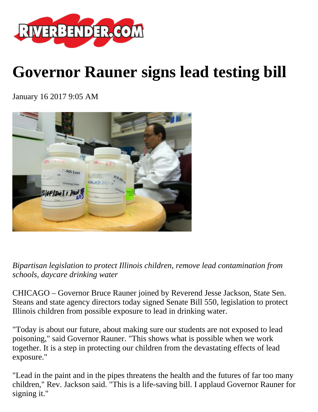

## **Governor Rauner signs lead testing bill**

January 16 2017 9:05 AM



*Bipartisan legislation to protect Illinois children, remove lead contamination from schools, daycare drinking water*

CHICAGO – Governor Bruce Rauner joined by Reverend Jesse Jackson, State Sen. Steans and state agency directors today signed Senate Bill 550, legislation to protect Illinois children from possible exposure to lead in drinking water.

"Today is about our future, about making sure our students are not exposed to lead poisoning," said Governor Rauner. "This shows what is possible when we work together. It is a step in protecting our children from the devastating effects of lead exposure."

"Lead in the paint and in the pipes threatens the health and the futures of far too many children," Rev. Jackson said. "This is a life-saving bill. I applaud Governor Rauner for signing it."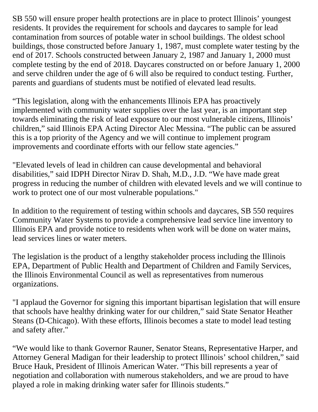SB 550 will ensure proper health protections are in place to protect Illinois' youngest residents. It provides the requirement for schools and daycares to sample for lead contamination from sources of potable water in school buildings. The oldest school buildings, those constructed before January 1, 1987, must complete water testing by the end of 2017. Schools constructed between January 2, 1987 and January 1, 2000 must complete testing by the end of 2018. Daycares constructed on or before January 1, 2000 and serve children under the age of 6 will also be required to conduct testing. Further, parents and guardians of students must be notified of elevated lead results.

"This legislation, along with the enhancements Illinois EPA has proactively implemented with community water supplies over the last year, is an important step towards eliminating the risk of lead exposure to our most vulnerable citizens, Illinois' children," said Illinois EPA Acting Director Alec Messina. "The public can be assured this is a top priority of the Agency and we will continue to implement program improvements and coordinate efforts with our fellow state agencies."

"Elevated levels of lead in children can cause developmental and behavioral disabilities," said IDPH Director Nirav D. Shah, M.D., J.D. "We have made great progress in reducing the number of children with elevated levels and we will continue to work to protect one of our most vulnerable populations."

In addition to the requirement of testing within schools and daycares, SB 550 requires Community Water Systems to provide a comprehensive lead service line inventory to Illinois EPA and provide notice to residents when work will be done on water mains, lead services lines or water meters.

The legislation is the product of a lengthy stakeholder process including the Illinois EPA, Department of Public Health and Department of Children and Family Services, the Illinois Environmental Council as well as representatives from numerous organizations.

"I applaud the Governor for signing this important bipartisan legislation that will ensure that schools have healthy drinking water for our children," said State Senator Heather Steans (D-Chicago). With these efforts, Illinois becomes a state to model lead testing and safety after."

"We would like to thank Governor Rauner, Senator Steans, Representative Harper, and Attorney General Madigan for their leadership to protect Illinois' school children," said Bruce Hauk, President of Illinois American Water. "This bill represents a year of negotiation and collaboration with numerous stakeholders, and we are proud to have played a role in making drinking water safer for Illinois students."